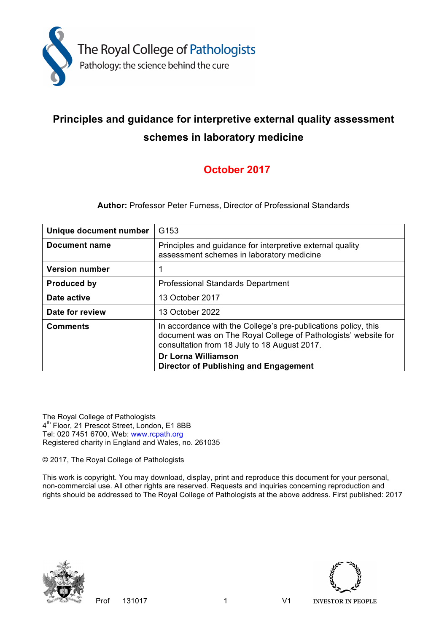

# **Principles and guidance for interpretive external quality assessment schemes in laboratory medicine**

## **October 2017**

**Author:** Professor Peter Furness, Director of Professional Standards

| Unique document number | G <sub>153</sub>                                                                                                                                                                 |
|------------------------|----------------------------------------------------------------------------------------------------------------------------------------------------------------------------------|
| Document name          | Principles and guidance for interpretive external quality<br>assessment schemes in laboratory medicine                                                                           |
| <b>Version number</b>  | 1                                                                                                                                                                                |
| <b>Produced by</b>     | <b>Professional Standards Department</b>                                                                                                                                         |
| Date active            | 13 October 2017                                                                                                                                                                  |
| Date for review        | 13 October 2022                                                                                                                                                                  |
| <b>Comments</b>        | In accordance with the College's pre-publications policy, this<br>document was on The Royal College of Pathologists' website for<br>consultation from 18 July to 18 August 2017. |
|                        | <b>Dr Lorna Williamson</b><br>Director of Publishing and Engagement                                                                                                              |

The Royal College of Pathologists 4<sup>th</sup> Floor, 21 Prescot Street, London, E1 8BB Tel: 020 7451 6700, Web: www.rcpath.org Registered charity in England and Wales, no. 261035

© 2017, The Royal College of Pathologists

This work is copyright. You may download, display, print and reproduce this document for your personal, non-commercial use. All other rights are reserved. Requests and inquiries concerning reproduction and rights should be addressed to The Royal College of Pathologists at the above address. First published: 2017



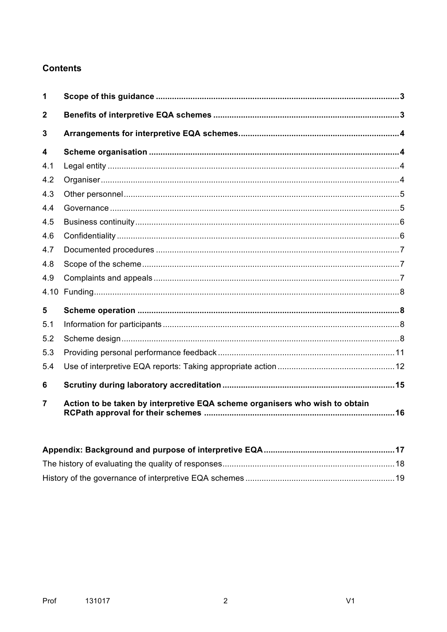## **Contents**

| 1              |                                                                             |  |
|----------------|-----------------------------------------------------------------------------|--|
| $\overline{2}$ |                                                                             |  |
| 3              |                                                                             |  |
| 4              |                                                                             |  |
| 4.1            |                                                                             |  |
| 4.2            |                                                                             |  |
| 4.3            |                                                                             |  |
| 4.4            |                                                                             |  |
| 4.5            |                                                                             |  |
| 4.6            |                                                                             |  |
| 4.7            |                                                                             |  |
| 4.8            |                                                                             |  |
| 4.9            |                                                                             |  |
| 4.10           |                                                                             |  |
| 5              |                                                                             |  |
| 5.1            |                                                                             |  |
| 5.2            |                                                                             |  |
| 5.3            |                                                                             |  |
| 5.4            |                                                                             |  |
| 6              |                                                                             |  |
| 7              | Action to be taken by interpretive EQA scheme organisers who wish to obtain |  |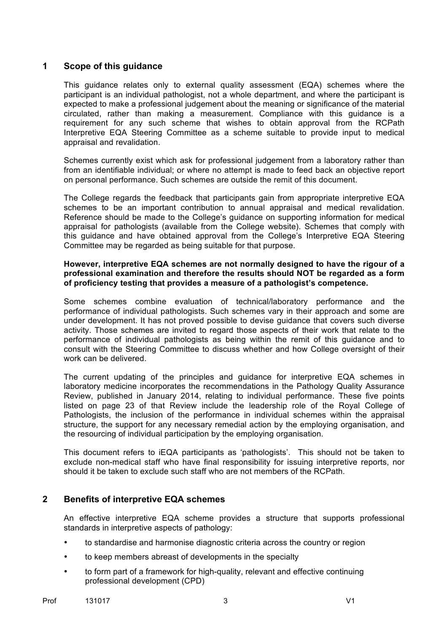## **1 Scope of this guidance**

This guidance relates only to external quality assessment (EQA) schemes where the participant is an individual pathologist, not a whole department, and where the participant is expected to make a professional judgement about the meaning or significance of the material circulated, rather than making a measurement. Compliance with this guidance is a requirement for any such scheme that wishes to obtain approval from the RCPath Interpretive EQA Steering Committee as a scheme suitable to provide input to medical appraisal and revalidation.

Schemes currently exist which ask for professional judgement from a laboratory rather than from an identifiable individual; or where no attempt is made to feed back an objective report on personal performance. Such schemes are outside the remit of this document.

The College regards the feedback that participants gain from appropriate interpretive EQA schemes to be an important contribution to annual appraisal and medical revalidation. Reference should be made to the College's guidance on supporting information for medical appraisal for pathologists (available from the College website). Schemes that comply with this guidance and have obtained approval from the College's Interpretive EQA Steering Committee may be regarded as being suitable for that purpose.

#### **However, interpretive EQA schemes are not normally designed to have the rigour of a professional examination and therefore the results should NOT be regarded as a form of proficiency testing that provides a measure of a pathologist's competence.**

Some schemes combine evaluation of technical/laboratory performance and the performance of individual pathologists. Such schemes vary in their approach and some are under development. It has not proved possible to devise guidance that covers such diverse activity. Those schemes are invited to regard those aspects of their work that relate to the performance of individual pathologists as being within the remit of this guidance and to consult with the Steering Committee to discuss whether and how College oversight of their work can be delivered.

The current updating of the principles and guidance for interpretive EQA schemes in laboratory medicine incorporates the recommendations in the Pathology Quality Assurance Review, published in January 2014, relating to individual performance. These five points listed on page 23 of that Review include the leadership role of the Royal College of Pathologists, the inclusion of the performance in individual schemes within the appraisal structure, the support for any necessary remedial action by the employing organisation, and the resourcing of individual participation by the employing organisation.

This document refers to iEQA participants as 'pathologists'. This should not be taken to exclude non-medical staff who have final responsibility for issuing interpretive reports, nor should it be taken to exclude such staff who are not members of the RCPath.

## **2 Benefits of interpretive EQA schemes**

An effective interpretive EQA scheme provides a structure that supports professional standards in interpretive aspects of pathology:

- to standardise and harmonise diagnostic criteria across the country or region
- to keep members abreast of developments in the specialty
- to form part of a framework for high-quality, relevant and effective continuing professional development (CPD)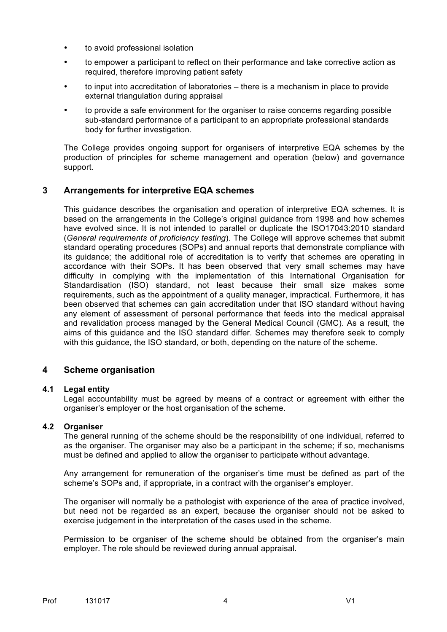- to avoid professional isolation
- to empower a participant to reflect on their performance and take corrective action as required, therefore improving patient safety
- to input into accreditation of laboratories there is a mechanism in place to provide external triangulation during appraisal
- to provide a safe environment for the organiser to raise concerns regarding possible sub-standard performance of a participant to an appropriate professional standards body for further investigation.

The College provides ongoing support for organisers of interpretive EQA schemes by the production of principles for scheme management and operation (below) and governance support.

## **3 Arrangements for interpretive EQA schemes**

This guidance describes the organisation and operation of interpretive EQA schemes. It is based on the arrangements in the College's original guidance from 1998 and how schemes have evolved since. It is not intended to parallel or duplicate the ISO17043:2010 standard (*General requirements of proficiency testing*). The College will approve schemes that submit standard operating procedures (SOPs) and annual reports that demonstrate compliance with its guidance; the additional role of accreditation is to verify that schemes are operating in accordance with their SOPs. It has been observed that very small schemes may have difficulty in complying with the implementation of this International Organisation for Standardisation (ISO) standard, not least because their small size makes some requirements, such as the appointment of a quality manager, impractical. Furthermore, it has been observed that schemes can gain accreditation under that ISO standard without having any element of assessment of personal performance that feeds into the medical appraisal and revalidation process managed by the General Medical Council (GMC). As a result, the aims of this guidance and the ISO standard differ. Schemes may therefore seek to comply with this guidance, the ISO standard, or both, depending on the nature of the scheme.

## **4 Scheme organisation**

#### **4.1 Legal entity**

Legal accountability must be agreed by means of a contract or agreement with either the organiser's employer or the host organisation of the scheme.

## **4.2 Organiser**

The general running of the scheme should be the responsibility of one individual, referred to as the organiser. The organiser may also be a participant in the scheme; if so, mechanisms must be defined and applied to allow the organiser to participate without advantage.

Any arrangement for remuneration of the organiser's time must be defined as part of the scheme's SOPs and, if appropriate, in a contract with the organiser's employer.

The organiser will normally be a pathologist with experience of the area of practice involved, but need not be regarded as an expert, because the organiser should not be asked to exercise judgement in the interpretation of the cases used in the scheme.

Permission to be organiser of the scheme should be obtained from the organiser's main employer. The role should be reviewed during annual appraisal.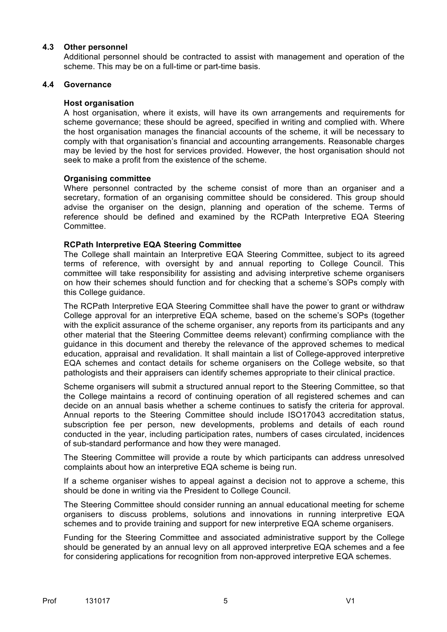#### **4.3 Other personnel**

Additional personnel should be contracted to assist with management and operation of the scheme. This may be on a full-time or part-time basis.

#### **4.4 Governance**

#### **Host organisation**

A host organisation, where it exists, will have its own arrangements and requirements for scheme governance; these should be agreed, specified in writing and complied with. Where the host organisation manages the financial accounts of the scheme, it will be necessary to comply with that organisation's financial and accounting arrangements. Reasonable charges may be levied by the host for services provided. However, the host organisation should not seek to make a profit from the existence of the scheme.

#### **Organising committee**

Where personnel contracted by the scheme consist of more than an organiser and a secretary, formation of an organising committee should be considered. This group should advise the organiser on the design, planning and operation of the scheme. Terms of reference should be defined and examined by the RCPath Interpretive EQA Steering Committee.

#### **RCPath Interpretive EQA Steering Committee**

The College shall maintain an Interpretive EQA Steering Committee, subject to its agreed terms of reference, with oversight by and annual reporting to College Council. This committee will take responsibility for assisting and advising interpretive scheme organisers on how their schemes should function and for checking that a scheme's SOPs comply with this College guidance.

The RCPath Interpretive EQA Steering Committee shall have the power to grant or withdraw College approval for an interpretive EQA scheme, based on the scheme's SOPs (together with the explicit assurance of the scheme organiser, any reports from its participants and any other material that the Steering Committee deems relevant) confirming compliance with the guidance in this document and thereby the relevance of the approved schemes to medical education, appraisal and revalidation. It shall maintain a list of College-approved interpretive EQA schemes and contact details for scheme organisers on the College website, so that pathologists and their appraisers can identify schemes appropriate to their clinical practice.

Scheme organisers will submit a structured annual report to the Steering Committee, so that the College maintains a record of continuing operation of all registered schemes and can decide on an annual basis whether a scheme continues to satisfy the criteria for approval. Annual reports to the Steering Committee should include ISO17043 accreditation status, subscription fee per person, new developments, problems and details of each round conducted in the year, including participation rates, numbers of cases circulated, incidences of sub-standard performance and how they were managed.

The Steering Committee will provide a route by which participants can address unresolved complaints about how an interpretive EQA scheme is being run.

If a scheme organiser wishes to appeal against a decision not to approve a scheme, this should be done in writing via the President to College Council.

The Steering Committee should consider running an annual educational meeting for scheme organisers to discuss problems, solutions and innovations in running interpretive EQA schemes and to provide training and support for new interpretive EQA scheme organisers.

Funding for the Steering Committee and associated administrative support by the College should be generated by an annual levy on all approved interpretive EQA schemes and a fee for considering applications for recognition from non-approved interpretive EQA schemes.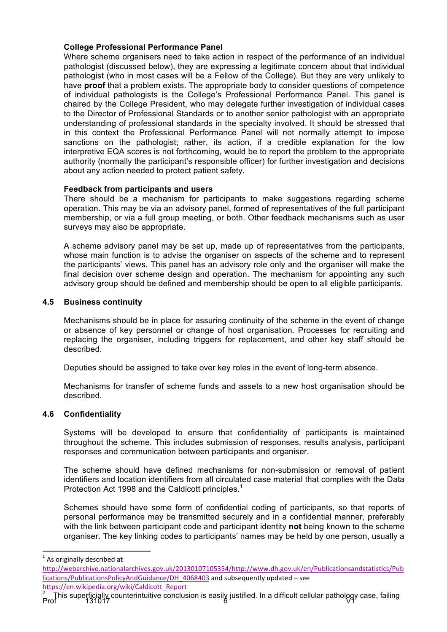## **College Professional Performance Panel**

Where scheme organisers need to take action in respect of the performance of an individual pathologist (discussed below), they are expressing a legitimate concern about that individual pathologist (who in most cases will be a Fellow of the College). But they are very unlikely to have **proof** that a problem exists. The appropriate body to consider questions of competence of individual pathologists is the College's Professional Performance Panel. This panel is chaired by the College President, who may delegate further investigation of individual cases to the Director of Professional Standards or to another senior pathologist with an appropriate understanding of professional standards in the specialty involved. It should be stressed that in this context the Professional Performance Panel will not normally attempt to impose sanctions on the pathologist; rather, its action, if a credible explanation for the low interpretive EQA scores is not forthcoming, would be to report the problem to the appropriate authority (normally the participant's responsible officer) for further investigation and decisions about any action needed to protect patient safety.

#### **Feedback from participants and users**

There should be a mechanism for participants to make suggestions regarding scheme operation. This may be via an advisory panel, formed of representatives of the full participant membership, or via a full group meeting, or both. Other feedback mechanisms such as user surveys may also be appropriate.

A scheme advisory panel may be set up, made up of representatives from the participants, whose main function is to advise the organiser on aspects of the scheme and to represent the participants' views. This panel has an advisory role only and the organiser will make the final decision over scheme design and operation. The mechanism for appointing any such advisory group should be defined and membership should be open to all eligible participants.

#### **4.5 Business continuity**

Mechanisms should be in place for assuring continuity of the scheme in the event of change or absence of key personnel or change of host organisation. Processes for recruiting and replacing the organiser, including triggers for replacement, and other key staff should be described.

Deputies should be assigned to take over key roles in the event of long-term absence.

Mechanisms for transfer of scheme funds and assets to a new host organisation should be described.

## **4.6 Confidentiality**

Systems will be developed to ensure that confidentiality of participants is maintained throughout the scheme. This includes submission of responses, results analysis, participant responses and communication between participants and organiser.

The scheme should have defined mechanisms for non-submission or removal of patient identifiers and location identifiers from all circulated case material that complies with the Data Protection Act 1998 and the Caldicott principles.<sup>1</sup>

Schemes should have some form of confidential coding of participants, so that reports of personal performance may be transmitted securely and in a confidential manner, preferably with the link between participant code and participant identity **not** being known to the scheme organiser. The key linking codes to participants' names may be held by one person, usually a

 $<sup>1</sup>$  As originally described at</sup>

http://webarchive.nationalarchives.gov.uk/20130107105354/http://www.dh.gov.uk/en/Publicationsandstatistics/Pub lications/PublicationsPolicyAndGuidance/DH\_4068403 and subsequently updated - see https://en.wikipedia.org/wiki/Caldicott\_Report

 $\frac{2}{2}$  This superficially counterintuitive conclusion is easily justified. In a difficult cellular pathology case, failing<br>Prof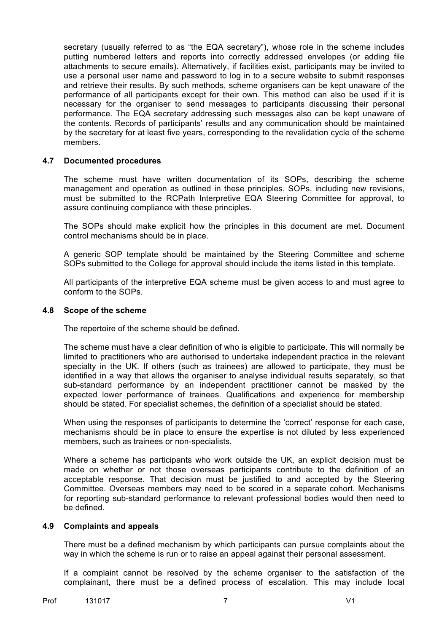secretary (usually referred to as "the EQA secretary"), whose role in the scheme includes putting numbered letters and reports into correctly addressed envelopes (or adding file attachments to secure emails). Alternatively, if facilities exist, participants may be invited to use a personal user name and password to log in to a secure website to submit responses and retrieve their results. By such methods, scheme organisers can be kept unaware of the performance of all participants except for their own. This method can also be used if it is necessary for the organiser to send messages to participants discussing their personal performance. The EQA secretary addressing such messages also can be kept unaware of the contents. Records of participants' results and any communication should be maintained by the secretary for at least five years, corresponding to the revalidation cycle of the scheme members.

#### **4.7 Documented procedures**

The scheme must have written documentation of its SOPs, describing the scheme management and operation as outlined in these principles. SOPs, including new revisions, must be submitted to the RCPath Interpretive EQA Steering Committee for approval, to assure continuing compliance with these principles.

The SOPs should make explicit how the principles in this document are met. Document control mechanisms should be in place.

A generic SOP template should be maintained by the Steering Committee and scheme SOPs submitted to the College for approval should include the items listed in this template.

All participants of the interpretive EQA scheme must be given access to and must agree to conform to the SOPs.

#### **4.8 Scope of the scheme**

The repertoire of the scheme should be defined.

The scheme must have a clear definition of who is eligible to participate. This will normally be limited to practitioners who are authorised to undertake independent practice in the relevant specialty in the UK. If others (such as trainees) are allowed to participate, they must be identified in a way that allows the organiser to analyse individual results separately, so that sub-standard performance by an independent practitioner cannot be masked by the expected lower performance of trainees. Qualifications and experience for membership should be stated. For specialist schemes, the definition of a specialist should be stated.

When using the responses of participants to determine the 'correct' response for each case, mechanisms should be in place to ensure the expertise is not diluted by less experienced members, such as trainees or non-specialists.

Where a scheme has participants who work outside the UK, an explicit decision must be made on whether or not those overseas participants contribute to the definition of an acceptable response. That decision must be justified to and accepted by the Steering Committee. Overseas members may need to be scored in a separate cohort. Mechanisms for reporting sub-standard performance to relevant professional bodies would then need to be defined.

#### **4.9 Complaints and appeals**

There must be a defined mechanism by which participants can pursue complaints about the way in which the scheme is run or to raise an appeal against their personal assessment.

If a complaint cannot be resolved by the scheme organiser to the satisfaction of the complainant, there must be a defined process of escalation. This may include local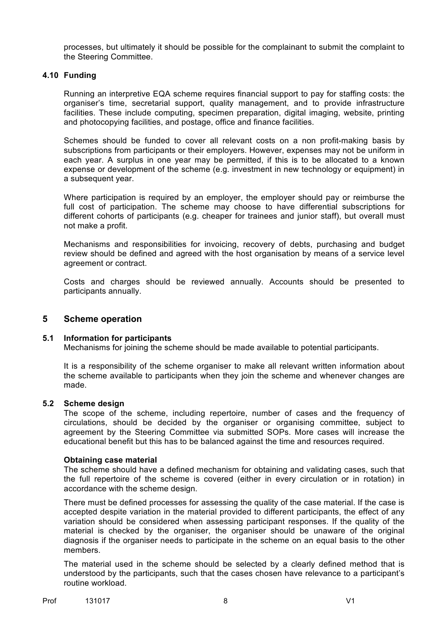processes, but ultimately it should be possible for the complainant to submit the complaint to the Steering Committee.

#### **4.10 Funding**

Running an interpretive EQA scheme requires financial support to pay for staffing costs: the organiser's time, secretarial support, quality management, and to provide infrastructure facilities. These include computing, specimen preparation, digital imaging, website, printing and photocopying facilities, and postage, office and finance facilities.

Schemes should be funded to cover all relevant costs on a non profit-making basis by subscriptions from participants or their employers. However, expenses may not be uniform in each year. A surplus in one year may be permitted, if this is to be allocated to a known expense or development of the scheme (e.g. investment in new technology or equipment) in a subsequent year.

Where participation is required by an employer, the employer should pay or reimburse the full cost of participation. The scheme may choose to have differential subscriptions for different cohorts of participants (e.g. cheaper for trainees and junior staff), but overall must not make a profit.

Mechanisms and responsibilities for invoicing, recovery of debts, purchasing and budget review should be defined and agreed with the host organisation by means of a service level agreement or contract.

Costs and charges should be reviewed annually. Accounts should be presented to participants annually.

## **5 Scheme operation**

## **5.1 Information for participants**

Mechanisms for joining the scheme should be made available to potential participants.

It is a responsibility of the scheme organiser to make all relevant written information about the scheme available to participants when they join the scheme and whenever changes are made.

#### **5.2 Scheme design**

The scope of the scheme, including repertoire, number of cases and the frequency of circulations, should be decided by the organiser or organising committee, subject to agreement by the Steering Committee via submitted SOPs. More cases will increase the educational benefit but this has to be balanced against the time and resources required.

#### **Obtaining case material**

The scheme should have a defined mechanism for obtaining and validating cases, such that the full repertoire of the scheme is covered (either in every circulation or in rotation) in accordance with the scheme design.

There must be defined processes for assessing the quality of the case material. If the case is accepted despite variation in the material provided to different participants, the effect of any variation should be considered when assessing participant responses. If the quality of the material is checked by the organiser, the organiser should be unaware of the original diagnosis if the organiser needs to participate in the scheme on an equal basis to the other members.

The material used in the scheme should be selected by a clearly defined method that is understood by the participants, such that the cases chosen have relevance to a participant's routine workload.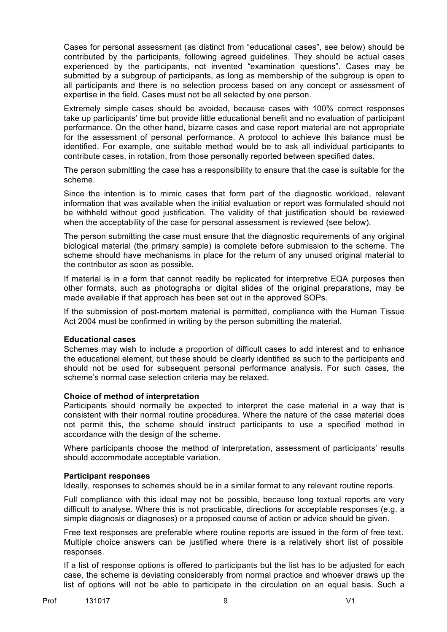Cases for personal assessment (as distinct from "educational cases", see below) should be contributed by the participants, following agreed guidelines. They should be actual cases experienced by the participants, not invented "examination questions". Cases may be submitted by a subgroup of participants, as long as membership of the subgroup is open to all participants and there is no selection process based on any concept or assessment of expertise in the field. Cases must not be all selected by one person.

Extremely simple cases should be avoided, because cases with 100% correct responses take up participants' time but provide little educational benefit and no evaluation of participant performance. On the other hand, bizarre cases and case report material are not appropriate for the assessment of personal performance. A protocol to achieve this balance must be identified. For example, one suitable method would be to ask all individual participants to contribute cases, in rotation, from those personally reported between specified dates.

The person submitting the case has a responsibility to ensure that the case is suitable for the scheme.

Since the intention is to mimic cases that form part of the diagnostic workload, relevant information that was available when the initial evaluation or report was formulated should not be withheld without good justification. The validity of that justification should be reviewed when the acceptability of the case for personal assessment is reviewed (see below).

The person submitting the case must ensure that the diagnostic requirements of any original biological material (the primary sample) is complete before submission to the scheme. The scheme should have mechanisms in place for the return of any unused original material to the contributor as soon as possible.

If material is in a form that cannot readily be replicated for interpretive EQA purposes then other formats, such as photographs or digital slides of the original preparations, may be made available if that approach has been set out in the approved SOPs.

If the submission of post-mortem material is permitted, compliance with the Human Tissue Act 2004 must be confirmed in writing by the person submitting the material.

#### **Educational cases**

Schemes may wish to include a proportion of difficult cases to add interest and to enhance the educational element, but these should be clearly identified as such to the participants and should not be used for subsequent personal performance analysis. For such cases, the scheme's normal case selection criteria may be relaxed.

#### **Choice of method of interpretation**

Participants should normally be expected to interpret the case material in a way that is consistent with their normal routine procedures. Where the nature of the case material does not permit this, the scheme should instruct participants to use a specified method in accordance with the design of the scheme.

Where participants choose the method of interpretation, assessment of participants' results should accommodate acceptable variation.

#### **Participant responses**

Ideally, responses to schemes should be in a similar format to any relevant routine reports.

Full compliance with this ideal may not be possible, because long textual reports are very difficult to analyse. Where this is not practicable, directions for acceptable responses (e.g. a simple diagnosis or diagnoses) or a proposed course of action or advice should be given.

Free text responses are preferable where routine reports are issued in the form of free text. Multiple choice answers can be justified where there is a relatively short list of possible responses.

If a list of response options is offered to participants but the list has to be adjusted for each case, the scheme is deviating considerably from normal practice and whoever draws up the list of options will not be able to participate in the circulation on an equal basis. Such a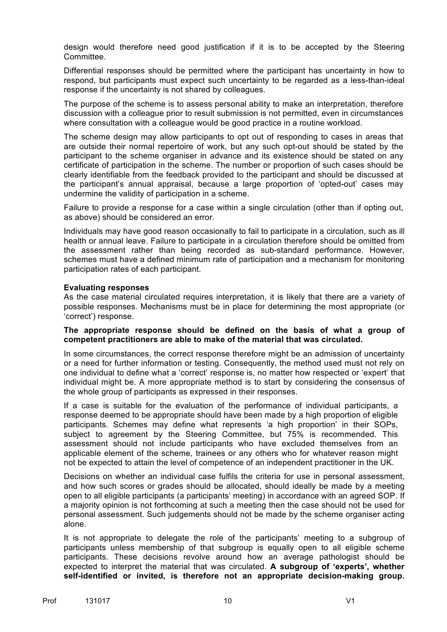design would therefore need good justification if it is to be accepted by the Steering Committee.

Differential responses should be permitted where the participant has uncertainty in how to respond, but participants must expect such uncertainty to be regarded as a less-than-ideal response if the uncertainty is not shared by colleagues.

The purpose of the scheme is to assess personal ability to make an interpretation, therefore discussion with a colleague prior to result submission is not permitted, even in circumstances where consultation with a colleague would be good practice in a routine workload.

The scheme design may allow participants to opt out of responding to cases in areas that are outside their normal repertoire of work, but any such opt-out should be stated by the participant to the scheme organiser in advance and its existence should be stated on any certificate of participation in the scheme. The number or proportion of such cases should be clearly identifiable from the feedback provided to the participant and should be discussed at the participant's annual appraisal, because a large proportion of 'opted-out' cases may undermine the validity of participation in a scheme.

Failure to provide a response for a case within a single circulation (other than if opting out, as above) should be considered an error.

Individuals may have good reason occasionally to fail to participate in a circulation, such as ill health or annual leave. Failure to participate in a circulation therefore should be omitted from the assessment rather than being recorded as sub-standard performance. However, schemes must have a defined minimum rate of participation and a mechanism for monitoring participation rates of each participant.

#### **Evaluating responses**

As the case material circulated requires interpretation, it is likely that there are a variety of possible responses. Mechanisms must be in place for determining the most appropriate (or 'correct') response.

#### **The appropriate response should be defined on the basis of what a group of competent practitioners are able to make of the material that was circulated.**

In some circumstances, the correct response therefore might be an admission of uncertainty or a need for further information or testing. Consequently, the method used must not rely on one individual to define what a 'correct' response is, no matter how respected or 'expert' that individual might be. A more appropriate method is to start by considering the consensus of the whole group of participants as expressed in their responses.

If a case is suitable for the evaluation of the performance of individual participants, a response deemed to be appropriate should have been made by a high proportion of eligible participants. Schemes may define what represents 'a high proportion' in their SOPs, subject to agreement by the Steering Committee, but 75% is recommended. This assessment should not include participants who have excluded themselves from an applicable element of the scheme, trainees or any others who for whatever reason might not be expected to attain the level of competence of an independent practitioner in the UK.

Decisions on whether an individual case fulfils the criteria for use in personal assessment, and how such scores or grades should be allocated, should ideally be made by a meeting open to all eligible participants (a participants' meeting) in accordance with an agreed SOP. If a majority opinion is not forthcoming at such a meeting then the case should not be used for personal assessment. Such judgements should not be made by the scheme organiser acting alone.

It is not appropriate to delegate the role of the participants' meeting to a subgroup of participants unless membership of that subgroup is equally open to all eligible scheme participants. These decisions revolve around how an average pathologist should be expected to interpret the material that was circulated. **A subgroup of 'experts', whether self-identified or invited, is therefore not an appropriate decision-making group.**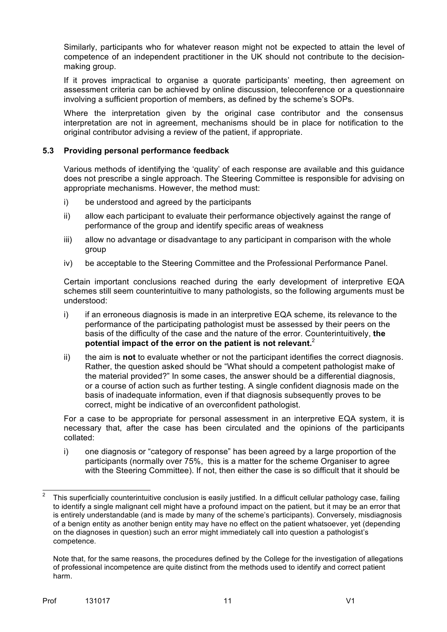Similarly, participants who for whatever reason might not be expected to attain the level of competence of an independent practitioner in the UK should not contribute to the decisionmaking group.

If it proves impractical to organise a quorate participants' meeting, then agreement on assessment criteria can be achieved by online discussion, teleconference or a questionnaire involving a sufficient proportion of members, as defined by the scheme's SOPs.

Where the interpretation given by the original case contributor and the consensus interpretation are not in agreement, mechanisms should be in place for notification to the original contributor advising a review of the patient, if appropriate.

## **5.3 Providing personal performance feedback**

Various methods of identifying the 'quality' of each response are available and this guidance does not prescribe a single approach. The Steering Committee is responsible for advising on appropriate mechanisms. However, the method must:

- i) be understood and agreed by the participants
- ii) allow each participant to evaluate their performance objectively against the range of performance of the group and identify specific areas of weakness
- iii) allow no advantage or disadvantage to any participant in comparison with the whole group
- iv) be acceptable to the Steering Committee and the Professional Performance Panel.

Certain important conclusions reached during the early development of interpretive EQA schemes still seem counterintuitive to many pathologists, so the following arguments must be understood:

- i) if an erroneous diagnosis is made in an interpretive EQA scheme, its relevance to the performance of the participating pathologist must be assessed by their peers on the basis of the difficulty of the case and the nature of the error. Counterintuitively, **the potential impact of the error on the patient is not relevant.** 2
- ii) the aim is **not** to evaluate whether or not the participant identifies the correct diagnosis. Rather, the question asked should be "What should a competent pathologist make of the material provided?" In some cases, the answer should be a differential diagnosis, or a course of action such as further testing. A single confident diagnosis made on the basis of inadequate information, even if that diagnosis subsequently proves to be correct, might be indicative of an overconfident pathologist.

For a case to be appropriate for personal assessment in an interpretive EQA system, it is necessary that, after the case has been circulated and the opinions of the participants collated:

i) one diagnosis or "category of response" has been agreed by a large proportion of the participants (normally over 75%, this is a matter for the scheme Organiser to agree with the Steering Committee). If not, then either the case is so difficult that it should be

 <sup>2</sup> This superficially counterintuitive conclusion is easily justified. In a difficult cellular pathology case, failing to identify a single malignant cell might have a profound impact on the patient, but it may be an error that is entirely understandable (and is made by many of the scheme's participants). Conversely, misdiagnosis of a benign entity as another benign entity may have no effect on the patient whatsoever, yet (depending on the diagnoses in question) such an error might immediately call into question a pathologist's competence.

Note that, for the same reasons, the procedures defined by the College for the investigation of allegations of professional incompetence are quite distinct from the methods used to identify and correct patient harm.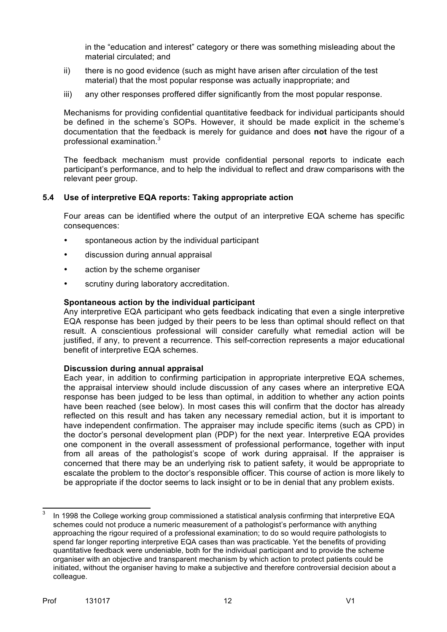in the "education and interest" category or there was something misleading about the material circulated; and

- ii) there is no good evidence (such as might have arisen after circulation of the test material) that the most popular response was actually inappropriate; and
- iii) any other responses proffered differ significantly from the most popular response.

Mechanisms for providing confidential quantitative feedback for individual participants should be defined in the scheme's SOPs. However, it should be made explicit in the scheme's documentation that the feedback is merely for guidance and does **not** have the rigour of a professional examination.<sup>3</sup>

The feedback mechanism must provide confidential personal reports to indicate each participant's performance, and to help the individual to reflect and draw comparisons with the relevant peer group.

#### **5.4 Use of interpretive EQA reports: Taking appropriate action**

Four areas can be identified where the output of an interpretive EQA scheme has specific consequences:

- spontaneous action by the individual participant
- discussion during annual appraisal
- action by the scheme organiser
- scrutiny during laboratory accreditation.

#### **Spontaneous action by the individual participant**

Any interpretive EQA participant who gets feedback indicating that even a single interpretive EQA response has been judged by their peers to be less than optimal should reflect on that result. A conscientious professional will consider carefully what remedial action will be justified, if any, to prevent a recurrence. This self-correction represents a major educational benefit of interpretive EQA schemes.

#### **Discussion during annual appraisal**

Each year, in addition to confirming participation in appropriate interpretive EQA schemes, the appraisal interview should include discussion of any cases where an interpretive EQA response has been judged to be less than optimal, in addition to whether any action points have been reached (see below). In most cases this will confirm that the doctor has already reflected on this result and has taken any necessary remedial action, but it is important to have independent confirmation. The appraiser may include specific items (such as CPD) in the doctor's personal development plan (PDP) for the next year. Interpretive EQA provides one component in the overall assessment of professional performance, together with input from all areas of the pathologist's scope of work during appraisal. If the appraiser is concerned that there may be an underlying risk to patient safety, it would be appropriate to escalate the problem to the doctor's responsible officer. This course of action is more likely to be appropriate if the doctor seems to lack insight or to be in denial that any problem exists.

In 1998 the College working group commissioned a statistical analysis confirming that interpretive EQA schemes could not produce a numeric measurement of a pathologist's performance with anything approaching the rigour required of a professional examination; to do so would require pathologists to spend far longer reporting interpretive EQA cases than was practicable. Yet the benefits of providing quantitative feedback were undeniable, both for the individual participant and to provide the scheme organiser with an objective and transparent mechanism by which action to protect patients could be initiated, without the organiser having to make a subjective and therefore controversial decision about a colleague.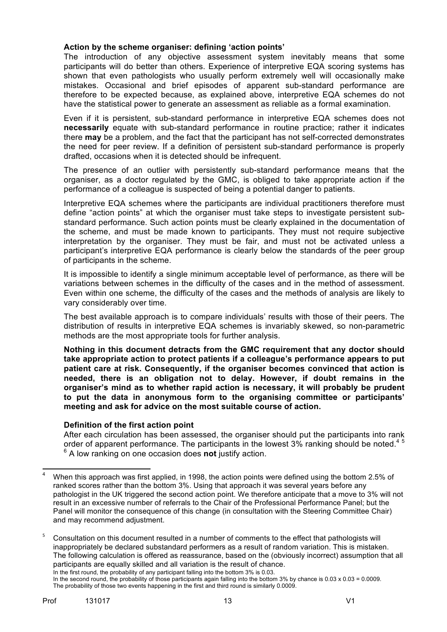## **Action by the scheme organiser: defining 'action points'**

The introduction of any objective assessment system inevitably means that some participants will do better than others. Experience of interpretive EQA scoring systems has shown that even pathologists who usually perform extremely well will occasionally make mistakes. Occasional and brief episodes of apparent sub-standard performance are therefore to be expected because, as explained above, interpretive EQA schemes do not have the statistical power to generate an assessment as reliable as a formal examination.

Even if it is persistent, sub-standard performance in interpretive EQA schemes does not **necessarily** equate with sub-standard performance in routine practice; rather it indicates there **may** be a problem, and the fact that the participant has not self-corrected demonstrates the need for peer review. If a definition of persistent sub-standard performance is properly drafted, occasions when it is detected should be infrequent.

The presence of an outlier with persistently sub-standard performance means that the organiser, as a doctor regulated by the GMC, is obliged to take appropriate action if the performance of a colleague is suspected of being a potential danger to patients.

Interpretive EQA schemes where the participants are individual practitioners therefore must define "action points" at which the organiser must take steps to investigate persistent substandard performance. Such action points must be clearly explained in the documentation of the scheme, and must be made known to participants. They must not require subjective interpretation by the organiser. They must be fair, and must not be activated unless a participant's interpretive EQA performance is clearly below the standards of the peer group of participants in the scheme.

It is impossible to identify a single minimum acceptable level of performance, as there will be variations between schemes in the difficulty of the cases and in the method of assessment. Even within one scheme, the difficulty of the cases and the methods of analysis are likely to vary considerably over time.

The best available approach is to compare individuals' results with those of their peers. The distribution of results in interpretive EQA schemes is invariably skewed, so non-parametric methods are the most appropriate tools for further analysis.

**Nothing in this document detracts from the GMC requirement that any doctor should take appropriate action to protect patients if a colleague's performance appears to put patient care at risk. Consequently, if the organiser becomes convinced that action is needed, there is an obligation not to delay. However, if doubt remains in the organiser's mind as to whether rapid action is necessary, it will probably be prudent to put the data in anonymous form to the organising committee or participants' meeting and ask for advice on the most suitable course of action.** 

#### **Definition of the first action point**

After each circulation has been assessed, the organiser should put the participants into rank order of apparent performance. The participants in the lowest 3% ranking should be noted.<sup>4</sup> <sup>6</sup> A low ranking on one occasion does **not** justify action.

 <sup>4</sup> When this approach was first applied, in 1998, the action points were defined using the bottom 2.5% of ranked scores rather than the bottom 3%. Using that approach it was several years before any pathologist in the UK triggered the second action point. We therefore anticipate that a move to 3% will not result in an excessive number of referrals to the Chair of the Professional Performance Panel; but the Panel will monitor the consequence of this change (in consultation with the Steering Committee Chair) and may recommend adjustment.

<sup>5</sup> Consultation on this document resulted in a number of comments to the effect that pathologists will inappropriately be declared substandard performers as a result of random variation. This is mistaken. The following calculation is offered as reassurance, based on the (obviously incorrect) assumption that all participants are equally skilled and all variation is the result of chance. In the first round, the probability of any participant falling into the bottom 3% is 0.03.

In the second round, the probability of those participants again falling into the bottom 3% by chance is  $0.03 \times 0.03 = 0.0009$ . The probability of those two events happening in the first and third round is similarly 0.0009.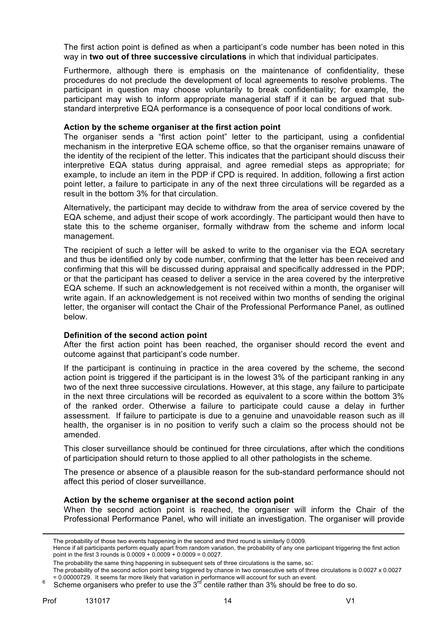The first action point is defined as when a participant's code number has been noted in this way in **two out of three successive circulations** in which that individual participates.

Furthermore, although there is emphasis on the maintenance of confidentiality, these procedures do not preclude the development of local agreements to resolve problems. The participant in question may choose voluntarily to break confidentiality; for example, the participant may wish to inform appropriate managerial staff if it can be argued that substandard interpretive EQA performance is a consequence of poor local conditions of work.

#### **Action by the scheme organiser at the first action point**

The organiser sends a "first action point" letter to the participant, using a confidential mechanism in the interpretive EQA scheme office, so that the organiser remains unaware of the identity of the recipient of the letter. This indicates that the participant should discuss their interpretive EQA status during appraisal, and agree remedial steps as appropriate; for example, to include an item in the PDP if CPD is required. In addition, following a first action point letter, a failure to participate in any of the next three circulations will be regarded as a result in the bottom 3% for that circulation.

Alternatively, the participant may decide to withdraw from the area of service covered by the EQA scheme, and adjust their scope of work accordingly. The participant would then have to state this to the scheme organiser, formally withdraw from the scheme and inform local management.

The recipient of such a letter will be asked to write to the organiser via the EQA secretary and thus be identified only by code number, confirming that the letter has been received and confirming that this will be discussed during appraisal and specifically addressed in the PDP; or that the participant has ceased to deliver a service in the area covered by the interpretive EQA scheme. If such an acknowledgement is not received within a month, the organiser will write again. If an acknowledgement is not received within two months of sending the original letter, the organiser will contact the Chair of the Professional Performance Panel, as outlined below.

#### **Definition of the second action point**

After the first action point has been reached, the organiser should record the event and outcome against that participant's code number.

If the participant is continuing in practice in the area covered by the scheme, the second action point is triggered if the participant is in the lowest 3% of the participant ranking in any two of the next three successive circulations. However, at this stage, any failure to participate in the next three circulations will be recorded as equivalent to a score within the bottom 3% of the ranked order. Otherwise a failure to participate could cause a delay in further assessment. If failure to participate is due to a genuine and unavoidable reason such as ill health, the organiser is in no position to verify such a claim so the process should not be amended.

This closer surveillance should be continued for three circulations, after which the conditions of participation should return to those applied to all other pathologists in the scheme.

The presence or absence of a plausible reason for the sub-standard performance should not affect this period of closer surveillance.

#### **Action by the scheme organiser at the second action point**

When the second action point is reached, the organiser will inform the Chair of the Professional Performance Panel, who will initiate an investigation. The organiser will provide

 

The probability of those two events happening in the second and third round is similarly 0.0009.

Hence if all participants perform equally apart from random variation, the probability of any one participant triggering the first action point in the first 3 rounds is 0.0009 + 0.0009 + 0.0009 = 0.0027.

The probability the same thing happening in subsequent sets of three circulations is the same, so:

The probability of the second action point being triggered by chance in two consecutive sets of three circulations is 0.0027 x 0.0027

<sup>= 0.00000729.</sup> It seems far more likely that variation in performance will account for such an event.<br><sup>6</sup> Scheme organisers who prefer to use the 3<sup>rd</sup> centile rather than 3% should be free to do so.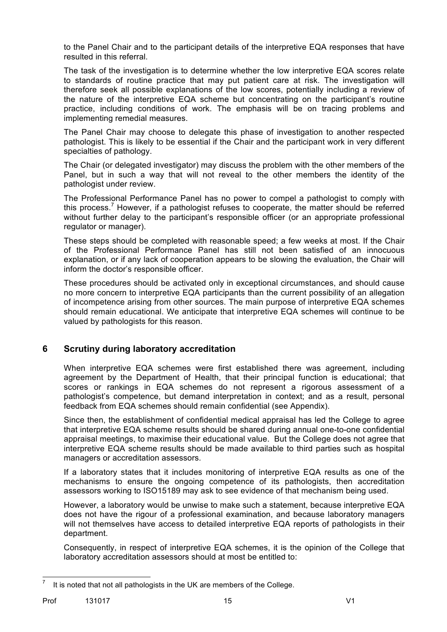to the Panel Chair and to the participant details of the interpretive EQA responses that have resulted in this referral.

The task of the investigation is to determine whether the low interpretive EQA scores relate to standards of routine practice that may put patient care at risk. The investigation will therefore seek all possible explanations of the low scores, potentially including a review of the nature of the interpretive EQA scheme but concentrating on the participant's routine practice, including conditions of work. The emphasis will be on tracing problems and implementing remedial measures.

The Panel Chair may choose to delegate this phase of investigation to another respected pathologist. This is likely to be essential if the Chair and the participant work in very different specialties of pathology.

The Chair (or delegated investigator) may discuss the problem with the other members of the Panel, but in such a way that will not reveal to the other members the identity of the pathologist under review.

The Professional Performance Panel has no power to compel a pathologist to comply with this process.<sup>7</sup> However, if a pathologist refuses to cooperate, the matter should be referred without further delay to the participant's responsible officer (or an appropriate professional regulator or manager).

These steps should be completed with reasonable speed; a few weeks at most. If the Chair of the Professional Performance Panel has still not been satisfied of an innocuous explanation, or if any lack of cooperation appears to be slowing the evaluation, the Chair will inform the doctor's responsible officer.

These procedures should be activated only in exceptional circumstances, and should cause no more concern to interpretive EQA participants than the current possibility of an allegation of incompetence arising from other sources. The main purpose of interpretive EQA schemes should remain educational. We anticipate that interpretive EQA schemes will continue to be valued by pathologists for this reason.

## **6 Scrutiny during laboratory accreditation**

When interpretive EQA schemes were first established there was agreement, including agreement by the Department of Health, that their principal function is educational; that scores or rankings in EQA schemes do not represent a rigorous assessment of a pathologist's competence, but demand interpretation in context; and as a result, personal feedback from EQA schemes should remain confidential (see Appendix).

Since then, the establishment of confidential medical appraisal has led the College to agree that interpretive EQA scheme results should be shared during annual one-to-one confidential appraisal meetings, to maximise their educational value. But the College does not agree that interpretive EQA scheme results should be made available to third parties such as hospital managers or accreditation assessors.

If a laboratory states that it includes monitoring of interpretive EQA results as one of the mechanisms to ensure the ongoing competence of its pathologists, then accreditation assessors working to ISO15189 may ask to see evidence of that mechanism being used.

However, a laboratory would be unwise to make such a statement, because interpretive EQA does not have the rigour of a professional examination, and because laboratory managers will not themselves have access to detailed interpretive EQA reports of pathologists in their department.

Consequently, in respect of interpretive EQA schemes, it is the opinion of the College that laboratory accreditation assessors should at most be entitled to:

 $<sup>7</sup>$  It is noted that not all pathologists in the UK are members of the College.</sup>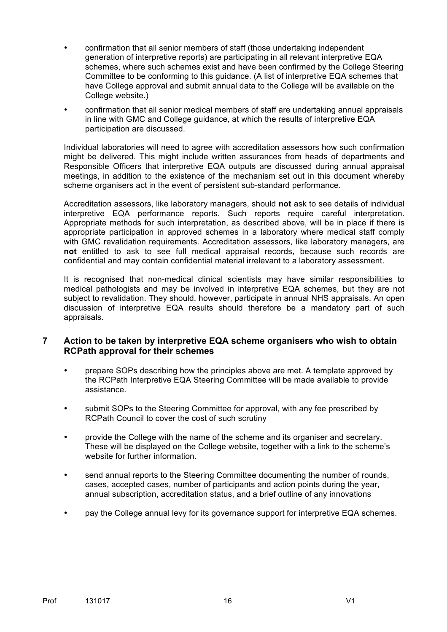- confirmation that all senior members of staff (those undertaking independent generation of interpretive reports) are participating in all relevant interpretive EQA schemes, where such schemes exist and have been confirmed by the College Steering Committee to be conforming to this guidance. (A list of interpretive EQA schemes that have College approval and submit annual data to the College will be available on the College website.)
- confirmation that all senior medical members of staff are undertaking annual appraisals in line with GMC and College guidance, at which the results of interpretive  $EQA$ participation are discussed.

Individual laboratories will need to agree with accreditation assessors how such confirmation might be delivered. This might include written assurances from heads of departments and Responsible Officers that interpretive EQA outputs are discussed during annual appraisal meetings, in addition to the existence of the mechanism set out in this document whereby scheme organisers act in the event of persistent sub-standard performance.

Accreditation assessors, like laboratory managers, should **not** ask to see details of individual interpretive EQA performance reports. Such reports require careful interpretation. Appropriate methods for such interpretation, as described above, will be in place if there is appropriate participation in approved schemes in a laboratory where medical staff comply with GMC revalidation requirements. Accreditation assessors, like laboratory managers, are **not** entitled to ask to see full medical appraisal records, because such records are confidential and may contain confidential material irrelevant to a laboratory assessment.

It is recognised that non-medical clinical scientists may have similar responsibilities to medical pathologists and may be involved in interpretive EQA schemes, but they are not subject to revalidation. They should, however, participate in annual NHS appraisals. An open discussion of interpretive EQA results should therefore be a mandatory part of such appraisals.

## **7 Action to be taken by interpretive EQA scheme organisers who wish to obtain RCPath approval for their schemes**

- prepare SOPs describing how the principles above are met. A template approved by the RCPath Interpretive EQA Steering Committee will be made available to provide assistance.
- submit SOPs to the Steering Committee for approval, with any fee prescribed by RCPath Council to cover the cost of such scrutiny
- provide the College with the name of the scheme and its organiser and secretary. These will be displayed on the College website, together with a link to the scheme's website for further information.
- send annual reports to the Steering Committee documenting the number of rounds, cases, accepted cases, number of participants and action points during the year, annual subscription, accreditation status, and a brief outline of any innovations
- pay the College annual levy for its governance support for interpretive EQA schemes.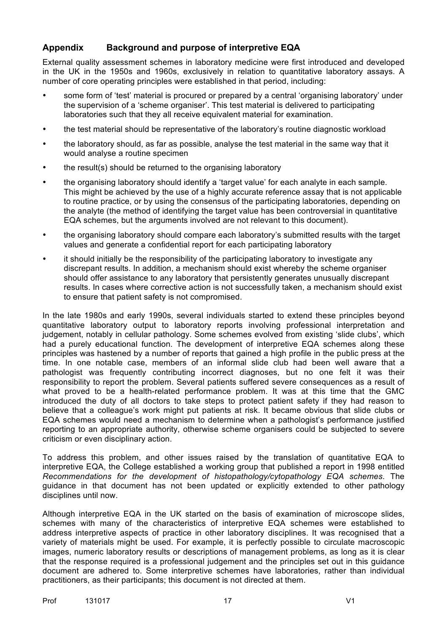## **Appendix Background and purpose of interpretive EQA**

External quality assessment schemes in laboratory medicine were first introduced and developed in the UK in the 1950s and 1960s, exclusively in relation to quantitative laboratory assays. A number of core operating principles were established in that period, including:

- some form of 'test' material is procured or prepared by a central 'organising laboratory' under the supervision of a 'scheme organiser'. This test material is delivered to participating laboratories such that they all receive equivalent material for examination.
- the test material should be representative of the laboratory's routine diagnostic workload
- the laboratory should, as far as possible, analyse the test material in the same way that it would analyse a routine specimen
- the result(s) should be returned to the organising laboratory
- the organising laboratory should identify a 'target value' for each analyte in each sample. This might be achieved by the use of a highly accurate reference assay that is not applicable to routine practice, or by using the consensus of the participating laboratories, depending on the analyte (the method of identifying the target value has been controversial in quantitative EQA schemes, but the arguments involved are not relevant to this document).
- the organising laboratory should compare each laboratory's submitted results with the target values and generate a confidential report for each participating laboratory
- it should initially be the responsibility of the participating laboratory to investigate any discrepant results. In addition, a mechanism should exist whereby the scheme organiser should offer assistance to any laboratory that persistently generates unusually discrepant results. In cases where corrective action is not successfully taken, a mechanism should exist to ensure that patient safety is not compromised.

In the late 1980s and early 1990s, several individuals started to extend these principles beyond quantitative laboratory output to laboratory reports involving professional interpretation and judgement, notably in cellular pathology. Some schemes evolved from existing 'slide clubs', which had a purely educational function. The development of interpretive EQA schemes along these principles was hastened by a number of reports that gained a high profile in the public press at the time. In one notable case, members of an informal slide club had been well aware that a pathologist was frequently contributing incorrect diagnoses, but no one felt it was their responsibility to report the problem. Several patients suffered severe consequences as a result of what proved to be a health-related performance problem. It was at this time that the GMC introduced the duty of all doctors to take steps to protect patient safety if they had reason to believe that a colleague's work might put patients at risk. It became obvious that slide clubs or EQA schemes would need a mechanism to determine when a pathologist's performance justified reporting to an appropriate authority, otherwise scheme organisers could be subjected to severe criticism or even disciplinary action.

To address this problem, and other issues raised by the translation of quantitative EQA to interpretive EQA, the College established a working group that published a report in 1998 entitled *Recommendations for the development of histopathology/cytopathology EQA schemes*. The guidance in that document has not been updated or explicitly extended to other pathology disciplines until now.

Although interpretive EQA in the UK started on the basis of examination of microscope slides, schemes with many of the characteristics of interpretive EQA schemes were established to address interpretive aspects of practice in other laboratory disciplines. It was recognised that a variety of materials might be used. For example, it is perfectly possible to circulate macroscopic images, numeric laboratory results or descriptions of management problems, as long as it is clear that the response required is a professional judgement and the principles set out in this guidance document are adhered to. Some interpretive schemes have laboratories, rather than individual practitioners, as their participants; this document is not directed at them.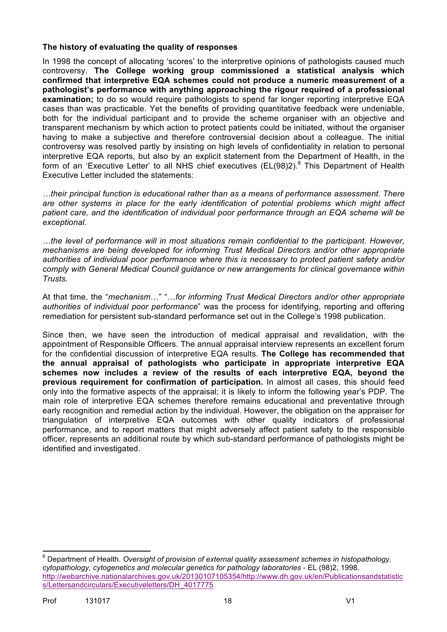## **The history of evaluating the quality of responses**

In 1998 the concept of allocating 'scores' to the interpretive opinions of pathologists caused much controversy. **The College working group commissioned a statistical analysis which confirmed that interpretive EQA schemes could not produce a numeric measurement of a pathologist's performance with anything approaching the rigour required of a professional examination:** to do so would require pathologists to spend far longer reporting interpretive EQA cases than was practicable. Yet the benefits of providing quantitative feedback were undeniable, both for the individual participant and to provide the scheme organiser with an objective and transparent mechanism by which action to protect patients could be initiated, without the organiser having to make a subjective and therefore controversial decision about a colleague. The initial controversy was resolved partly by insisting on high levels of confidentiality in relation to personal interpretive EQA reports, but also by an explicit statement from the Department of Health, in the form of an 'Executive Letter' to all NHS chief executives (EL(98)2).<sup>8</sup> This Department of Health Executive Letter included the statements:

*…their principal function is educational rather than as a means of performance assessment. There are other systems in place for the early identification of potential problems which might affect patient care, and the identification of individual poor performance through an EQA scheme will be exceptional.* 

*…the level of performance will in most situations remain confidential to the participant. However, mechanisms are being developed for informing Trust Medical Directors and/or other appropriate authorities of individual poor performance where this is necessary to protect patient safety and/or comply with General Medical Council guidance or new arrangements for clinical governance within Trusts.*

At that time, the "*mechanism*…" "…*for informing Trust Medical Directors and/or other appropriate authorities of individual poor performance*" was the process for identifying, reporting and offering remediation for persistent sub-standard performance set out in the College's 1998 publication.

Since then, we have seen the introduction of medical appraisal and revalidation, with the appointment of Responsible Officers. The annual appraisal interview represents an excellent forum for the confidential discussion of interpretive EQA results. **The College has recommended that the annual appraisal of pathologists who participate in appropriate interpretive EQA schemes now includes a review of the results of each interpretive EQA, beyond the previous requirement for confirmation of participation.** In almost all cases, this should feed only into the formative aspects of the appraisal; it is likely to inform the following year's PDP. The main role of interpretive EQA schemes therefore remains educational and preventative through early recognition and remedial action by the individual. However, the obligation on the appraiser for triangulation of interpretive EQA outcomes with other quality indicators of professional performance, and to report matters that might adversely affect patient safety to the responsible officer, represents an additional route by which sub-standard performance of pathologists might be identified and investigated.

 <sup>8</sup> Department of Health. *Oversight of provision of external quality assessment schemes in histopathology, cytopathology, cytogenetics and molecular genetics for pathology laboratories* - EL (98)2, 1998. http://webarchive.nationalarchives.gov.uk/20130107105354/http://www.dh.gov.uk/en/Publicationsandstatistic s/Lettersandcirculars/Executiveletters/DH\_4017775